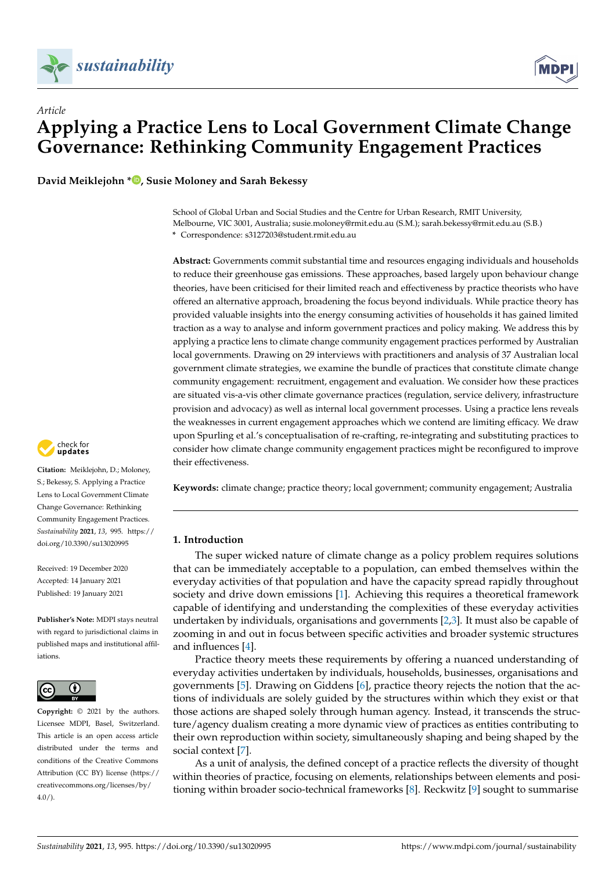



**David Meiklejohn [\\*](https://orcid.org/0000-0002-8011-6745) , Susie Moloney and Sarah Bekessy**



**Abstract:** Governments commit substantial time and resources engaging individuals and households to reduce their greenhouse gas emissions. These approaches, based largely upon behaviour change theories, have been criticised for their limited reach and effectiveness by practice theorists who have offered an alternative approach, broadening the focus beyond individuals. While practice theory has provided valuable insights into the energy consuming activities of households it has gained limited traction as a way to analyse and inform government practices and policy making. We address this by applying a practice lens to climate change community engagement practices performed by Australian local governments. Drawing on 29 interviews with practitioners and analysis of 37 Australian local government climate strategies, we examine the bundle of practices that constitute climate change community engagement: recruitment, engagement and evaluation. We consider how these practices are situated vis-a-vis other climate governance practices (regulation, service delivery, infrastructure provision and advocacy) as well as internal local government processes. Using a practice lens reveals the weaknesses in current engagement approaches which we contend are limiting efficacy. We draw upon Spurling et al.'s conceptualisation of re-crafting, re-integrating and substituting practices to consider how climate change community engagement practices might be reconfigured to improve their effectiveness.

**Keywords:** climate change; practice theory; local government; community engagement; Australia

## **1. Introduction**

The super wicked nature of climate change as a policy problem requires solutions that can be immediately acceptable to a population, can embed themselves within the everyday activities of that population and have the capacity spread rapidly throughout society and drive down emissions [\[1\]](#page-13-0). Achieving this requires a theoretical framework capable of identifying and understanding the complexities of these everyday activities undertaken by individuals, organisations and governments [\[2](#page-13-1)[,3\]](#page-13-2). It must also be capable of zooming in and out in focus between specific activities and broader systemic structures and influences [\[4\]](#page-13-3).

Practice theory meets these requirements by offering a nuanced understanding of everyday activities undertaken by individuals, households, businesses, organisations and governments [\[5\]](#page-13-4). Drawing on Giddens [\[6\]](#page-13-5), practice theory rejects the notion that the actions of individuals are solely guided by the structures within which they exist or that those actions are shaped solely through human agency. Instead, it transcends the structure/agency dualism creating a more dynamic view of practices as entities contributing to their own reproduction within society, simultaneously shaping and being shaped by the social context [\[7\]](#page-13-6).

As a unit of analysis, the defined concept of a practice reflects the diversity of thought within theories of practice, focusing on elements, relationships between elements and positioning within broader socio-technical frameworks [\[8\]](#page-13-7). Reckwitz [\[9\]](#page-13-8) sought to summarise



**Citation:** Meiklejohn, D.; Moloney, S.; Bekessy, S. Applying a Practice Lens to Local Government Climate Change Governance: Rethinking Community Engagement Practices. *Sustainability* **2021**, *13*, 995. [https://](https://doi.org/10.3390/su13020995) [doi.org/10.3390/su13020995](https://doi.org/10.3390/su13020995)

Received: 19 December 2020 Accepted: 14 January 2021 Published: 19 January 2021

**Publisher's Note:** MDPI stays neutral with regard to jurisdictional claims in published maps and institutional affiliations.



**Copyright:** © 2021 by the authors. Licensee MDPI, Basel, Switzerland. This article is an open access article distributed under the terms and conditions of the Creative Commons Attribution (CC BY) license (https:/[/](https://creativecommons.org/licenses/by/4.0/) [creativecommons.org/licenses/by/](https://creativecommons.org/licenses/by/4.0/)  $4.0/$ ).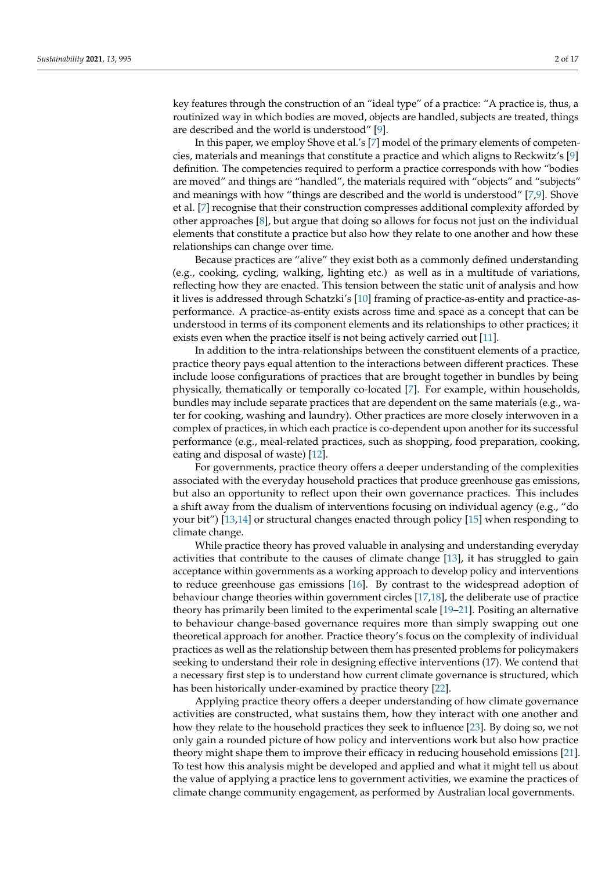key features through the construction of an "ideal type" of a practice: "A practice is, thus, a routinized way in which bodies are moved, objects are handled, subjects are treated, things are described and the world is understood" [\[9\]](#page-13-8).

In this paper, we employ Shove et al.'s [\[7\]](#page-13-6) model of the primary elements of competencies, materials and meanings that constitute a practice and which aligns to Reckwitz's [\[9\]](#page-13-8) definition. The competencies required to perform a practice corresponds with how "bodies are moved" and things are "handled", the materials required with "objects" and "subjects" and meanings with how "things are described and the world is understood" [\[7](#page-13-6)[,9\]](#page-13-8). Shove et al. [\[7\]](#page-13-6) recognise that their construction compresses additional complexity afforded by other approaches [\[8\]](#page-13-7), but argue that doing so allows for focus not just on the individual elements that constitute a practice but also how they relate to one another and how these relationships can change over time.

Because practices are "alive" they exist both as a commonly defined understanding (e.g., cooking, cycling, walking, lighting etc.) as well as in a multitude of variations, reflecting how they are enacted. This tension between the static unit of analysis and how it lives is addressed through Schatzki's [\[10\]](#page-13-9) framing of practice-as-entity and practice-asperformance. A practice-as-entity exists across time and space as a concept that can be understood in terms of its component elements and its relationships to other practices; it exists even when the practice itself is not being actively carried out [\[11\]](#page-13-10).

In addition to the intra-relationships between the constituent elements of a practice, practice theory pays equal attention to the interactions between different practices. These include loose configurations of practices that are brought together in bundles by being physically, thematically or temporally co-located [\[7\]](#page-13-6). For example, within households, bundles may include separate practices that are dependent on the same materials (e.g., water for cooking, washing and laundry). Other practices are more closely interwoven in a complex of practices, in which each practice is co-dependent upon another for its successful performance (e.g., meal-related practices, such as shopping, food preparation, cooking, eating and disposal of waste) [\[12\]](#page-13-11).

For governments, practice theory offers a deeper understanding of the complexities associated with the everyday household practices that produce greenhouse gas emissions, but also an opportunity to reflect upon their own governance practices. This includes a shift away from the dualism of interventions focusing on individual agency (e.g., "do your bit") [\[13,](#page-13-12)[14\]](#page-13-13) or structural changes enacted through policy [\[15\]](#page-13-14) when responding to climate change.

While practice theory has proved valuable in analysing and understanding everyday activities that contribute to the causes of climate change [\[13\]](#page-13-12), it has struggled to gain acceptance within governments as a working approach to develop policy and interventions to reduce greenhouse gas emissions [\[16\]](#page-13-15). By contrast to the widespread adoption of behaviour change theories within government circles [\[17](#page-13-16)[,18\]](#page-13-17), the deliberate use of practice theory has primarily been limited to the experimental scale [\[19](#page-14-0)[–21\]](#page-14-1). Positing an alternative to behaviour change-based governance requires more than simply swapping out one theoretical approach for another. Practice theory's focus on the complexity of individual practices as well as the relationship between them has presented problems for policymakers seeking to understand their role in designing effective interventions (17). We contend that a necessary first step is to understand how current climate governance is structured, which has been historically under-examined by practice theory [\[22\]](#page-14-2).

Applying practice theory offers a deeper understanding of how climate governance activities are constructed, what sustains them, how they interact with one another and how they relate to the household practices they seek to influence [\[23\]](#page-14-3). By doing so, we not only gain a rounded picture of how policy and interventions work but also how practice theory might shape them to improve their efficacy in reducing household emissions [\[21\]](#page-14-1). To test how this analysis might be developed and applied and what it might tell us about the value of applying a practice lens to government activities, we examine the practices of climate change community engagement, as performed by Australian local governments.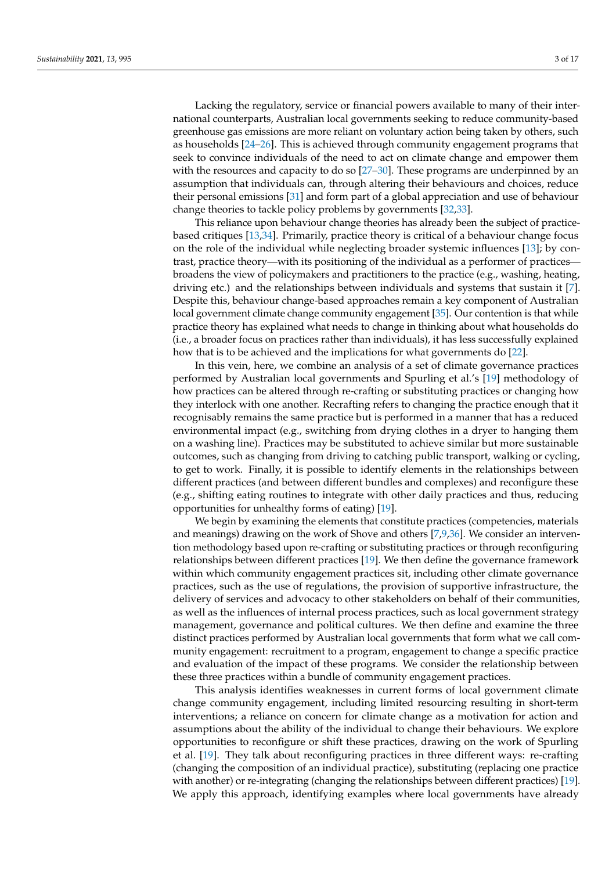Lacking the regulatory, service or financial powers available to many of their international counterparts, Australian local governments seeking to reduce community-based greenhouse gas emissions are more reliant on voluntary action being taken by others, such as households [\[24–](#page-14-4)[26\]](#page-14-5). This is achieved through community engagement programs that seek to convince individuals of the need to act on climate change and empower them with the resources and capacity to do so [\[27](#page-14-6)[–30\]](#page-14-7). These programs are underpinned by an assumption that individuals can, through altering their behaviours and choices, reduce their personal emissions [\[31\]](#page-14-8) and form part of a global appreciation and use of behaviour change theories to tackle policy problems by governments [\[32](#page-14-9)[,33\]](#page-14-10).

This reliance upon behaviour change theories has already been the subject of practicebased critiques [\[13](#page-13-12)[,34\]](#page-14-11). Primarily, practice theory is critical of a behaviour change focus on the role of the individual while neglecting broader systemic influences [\[13\]](#page-13-12); by contrast, practice theory—with its positioning of the individual as a performer of practices broadens the view of policymakers and practitioners to the practice (e.g., washing, heating, driving etc.) and the relationships between individuals and systems that sustain it [\[7\]](#page-13-6). Despite this, behaviour change-based approaches remain a key component of Australian local government climate change community engagement [\[35\]](#page-14-12). Our contention is that while practice theory has explained what needs to change in thinking about what households do (i.e., a broader focus on practices rather than individuals), it has less successfully explained how that is to be achieved and the implications for what governments do [\[22\]](#page-14-2).

In this vein, here, we combine an analysis of a set of climate governance practices performed by Australian local governments and Spurling et al.'s [\[19\]](#page-14-0) methodology of how practices can be altered through re-crafting or substituting practices or changing how they interlock with one another. Recrafting refers to changing the practice enough that it recognisably remains the same practice but is performed in a manner that has a reduced environmental impact (e.g., switching from drying clothes in a dryer to hanging them on a washing line). Practices may be substituted to achieve similar but more sustainable outcomes, such as changing from driving to catching public transport, walking or cycling, to get to work. Finally, it is possible to identify elements in the relationships between different practices (and between different bundles and complexes) and reconfigure these (e.g., shifting eating routines to integrate with other daily practices and thus, reducing opportunities for unhealthy forms of eating) [\[19\]](#page-14-0).

We begin by examining the elements that constitute practices (competencies, materials and meanings) drawing on the work of Shove and others [\[7,](#page-13-6)[9](#page-13-8)[,36\]](#page-14-13). We consider an intervention methodology based upon re-crafting or substituting practices or through reconfiguring relationships between different practices [\[19\]](#page-14-0). We then define the governance framework within which community engagement practices sit, including other climate governance practices, such as the use of regulations, the provision of supportive infrastructure, the delivery of services and advocacy to other stakeholders on behalf of their communities, as well as the influences of internal process practices, such as local government strategy management, governance and political cultures. We then define and examine the three distinct practices performed by Australian local governments that form what we call community engagement: recruitment to a program, engagement to change a specific practice and evaluation of the impact of these programs. We consider the relationship between these three practices within a bundle of community engagement practices.

This analysis identifies weaknesses in current forms of local government climate change community engagement, including limited resourcing resulting in short-term interventions; a reliance on concern for climate change as a motivation for action and assumptions about the ability of the individual to change their behaviours. We explore opportunities to reconfigure or shift these practices, drawing on the work of Spurling et al. [\[19\]](#page-14-0). They talk about reconfiguring practices in three different ways: re-crafting (changing the composition of an individual practice), substituting (replacing one practice with another) or re-integrating (changing the relationships between different practices) [\[19\]](#page-14-0). We apply this approach, identifying examples where local governments have already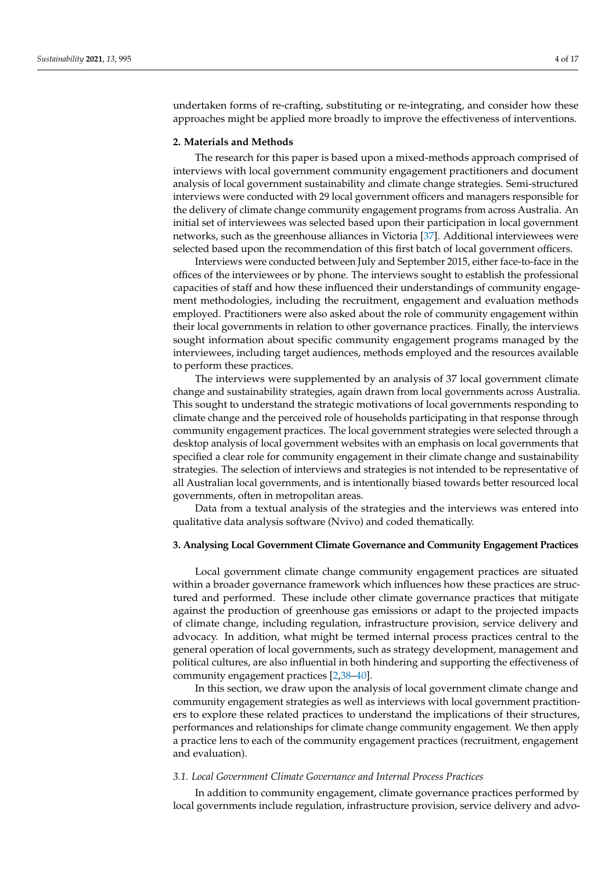undertaken forms of re-crafting, substituting or re-integrating, and consider how these approaches might be applied more broadly to improve the effectiveness of interventions.

### **2. Materials and Methods**

The research for this paper is based upon a mixed-methods approach comprised of interviews with local government community engagement practitioners and document analysis of local government sustainability and climate change strategies. Semi-structured interviews were conducted with 29 local government officers and managers responsible for the delivery of climate change community engagement programs from across Australia. An initial set of interviewees was selected based upon their participation in local government networks, such as the greenhouse alliances in Victoria [\[37\]](#page-14-14). Additional interviewees were selected based upon the recommendation of this first batch of local government officers.

Interviews were conducted between July and September 2015, either face-to-face in the offices of the interviewees or by phone. The interviews sought to establish the professional capacities of staff and how these influenced their understandings of community engagement methodologies, including the recruitment, engagement and evaluation methods employed. Practitioners were also asked about the role of community engagement within their local governments in relation to other governance practices. Finally, the interviews sought information about specific community engagement programs managed by the interviewees, including target audiences, methods employed and the resources available to perform these practices.

The interviews were supplemented by an analysis of 37 local government climate change and sustainability strategies, again drawn from local governments across Australia. This sought to understand the strategic motivations of local governments responding to climate change and the perceived role of households participating in that response through community engagement practices. The local government strategies were selected through a desktop analysis of local government websites with an emphasis on local governments that specified a clear role for community engagement in their climate change and sustainability strategies. The selection of interviews and strategies is not intended to be representative of all Australian local governments, and is intentionally biased towards better resourced local governments, often in metropolitan areas.

Data from a textual analysis of the strategies and the interviews was entered into qualitative data analysis software (Nvivo) and coded thematically.

#### **3. Analysing Local Government Climate Governance and Community Engagement Practices**

Local government climate change community engagement practices are situated within a broader governance framework which influences how these practices are structured and performed. These include other climate governance practices that mitigate against the production of greenhouse gas emissions or adapt to the projected impacts of climate change, including regulation, infrastructure provision, service delivery and advocacy. In addition, what might be termed internal process practices central to the general operation of local governments, such as strategy development, management and political cultures, are also influential in both hindering and supporting the effectiveness of community engagement practices [\[2](#page-13-1)[,38](#page-14-15)[–40\]](#page-14-16).

In this section, we draw upon the analysis of local government climate change and community engagement strategies as well as interviews with local government practitioners to explore these related practices to understand the implications of their structures, performances and relationships for climate change community engagement. We then apply a practice lens to each of the community engagement practices (recruitment, engagement and evaluation).

# *3.1. Local Government Climate Governance and Internal Process Practices*

In addition to community engagement, climate governance practices performed by local governments include regulation, infrastructure provision, service delivery and advo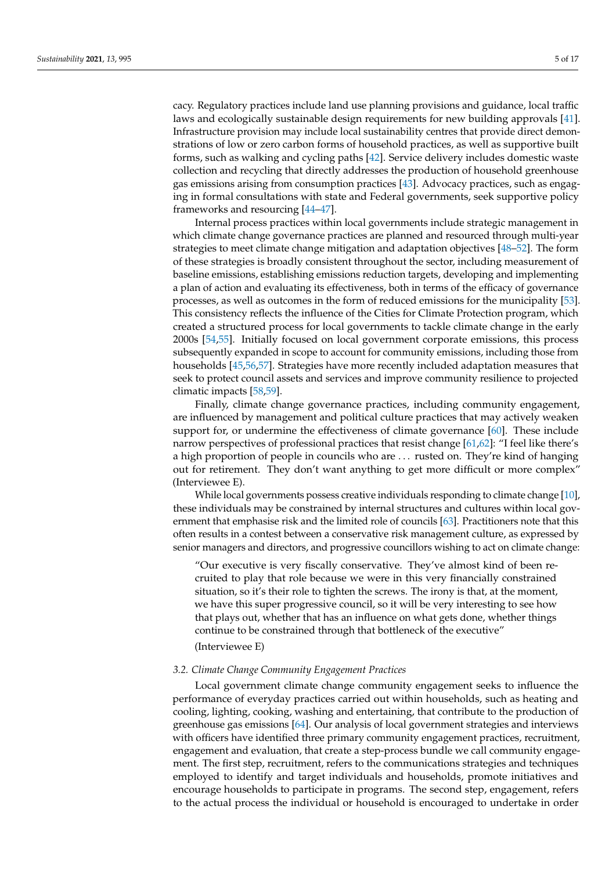cacy. Regulatory practices include land use planning provisions and guidance, local traffic laws and ecologically sustainable design requirements for new building approvals [\[41\]](#page-14-17). Infrastructure provision may include local sustainability centres that provide direct demonstrations of low or zero carbon forms of household practices, as well as supportive built forms, such as walking and cycling paths [\[42\]](#page-14-18). Service delivery includes domestic waste collection and recycling that directly addresses the production of household greenhouse gas emissions arising from consumption practices [\[43\]](#page-14-19). Advocacy practices, such as engaging in formal consultations with state and Federal governments, seek supportive policy frameworks and resourcing [\[44–](#page-14-20)[47\]](#page-14-21).

Internal process practices within local governments include strategic management in which climate change governance practices are planned and resourced through multi-year strategies to meet climate change mitigation and adaptation objectives [\[48](#page-14-22)[–52\]](#page-14-23). The form of these strategies is broadly consistent throughout the sector, including measurement of baseline emissions, establishing emissions reduction targets, developing and implementing a plan of action and evaluating its effectiveness, both in terms of the efficacy of governance processes, as well as outcomes in the form of reduced emissions for the municipality [\[53\]](#page-14-24). This consistency reflects the influence of the Cities for Climate Protection program, which created a structured process for local governments to tackle climate change in the early 2000s [\[54](#page-15-0)[,55\]](#page-15-1). Initially focused on local government corporate emissions, this process subsequently expanded in scope to account for community emissions, including those from households [\[45](#page-14-25)[,56](#page-15-2)[,57\]](#page-15-3). Strategies have more recently included adaptation measures that seek to protect council assets and services and improve community resilience to projected climatic impacts [\[58,](#page-15-4)[59\]](#page-15-5).

Finally, climate change governance practices, including community engagement, are influenced by management and political culture practices that may actively weaken support for, or undermine the effectiveness of climate governance [\[60\]](#page-15-6). These include narrow perspectives of professional practices that resist change [\[61](#page-15-7)[,62\]](#page-15-8): "I feel like there's a high proportion of people in councils who are . . . rusted on. They're kind of hanging out for retirement. They don't want anything to get more difficult or more complex" (Interviewee E).

While local governments possess creative individuals responding to climate change [\[10\]](#page-13-9), these individuals may be constrained by internal structures and cultures within local government that emphasise risk and the limited role of councils [\[63\]](#page-15-9). Practitioners note that this often results in a contest between a conservative risk management culture, as expressed by senior managers and directors, and progressive councillors wishing to act on climate change:

"Our executive is very fiscally conservative. They've almost kind of been recruited to play that role because we were in this very financially constrained situation, so it's their role to tighten the screws. The irony is that, at the moment, we have this super progressive council, so it will be very interesting to see how that plays out, whether that has an influence on what gets done, whether things continue to be constrained through that bottleneck of the executive"

(Interviewee E)

#### *3.2. Climate Change Community Engagement Practices*

Local government climate change community engagement seeks to influence the performance of everyday practices carried out within households, such as heating and cooling, lighting, cooking, washing and entertaining, that contribute to the production of greenhouse gas emissions [\[64\]](#page-15-10). Our analysis of local government strategies and interviews with officers have identified three primary community engagement practices, recruitment, engagement and evaluation, that create a step-process bundle we call community engagement. The first step, recruitment, refers to the communications strategies and techniques employed to identify and target individuals and households, promote initiatives and encourage households to participate in programs. The second step, engagement, refers to the actual process the individual or household is encouraged to undertake in order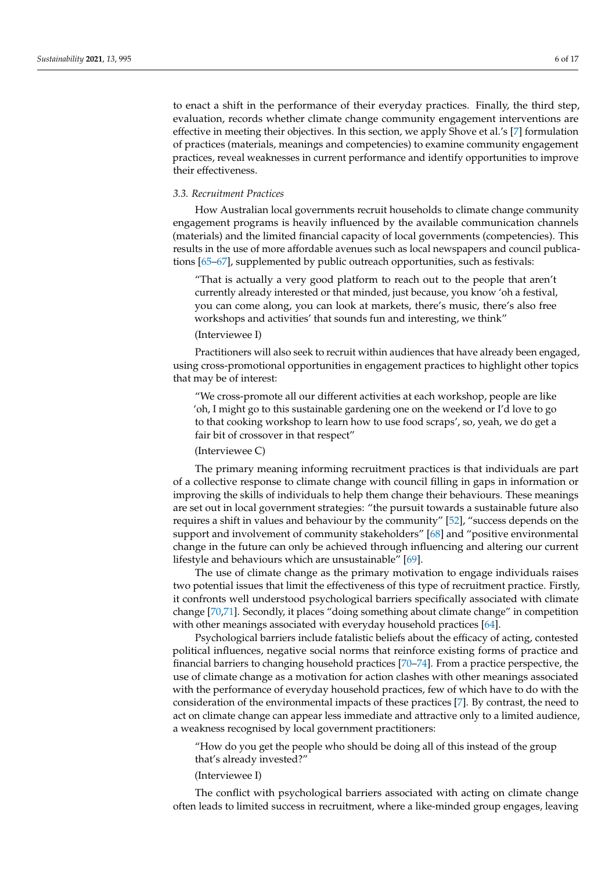to enact a shift in the performance of their everyday practices. Finally, the third step, evaluation, records whether climate change community engagement interventions are effective in meeting their objectives. In this section, we apply Shove et al.'s [\[7\]](#page-13-6) formulation of practices (materials, meanings and competencies) to examine community engagement practices, reveal weaknesses in current performance and identify opportunities to improve their effectiveness.

### *3.3. Recruitment Practices*

How Australian local governments recruit households to climate change community engagement programs is heavily influenced by the available communication channels (materials) and the limited financial capacity of local governments (competencies). This results in the use of more affordable avenues such as local newspapers and council publications [\[65–](#page-15-11)[67\]](#page-15-12), supplemented by public outreach opportunities, such as festivals:

"That is actually a very good platform to reach out to the people that aren't currently already interested or that minded, just because, you know 'oh a festival, you can come along, you can look at markets, there's music, there's also free workshops and activities' that sounds fun and interesting, we think"

## (Interviewee I)

Practitioners will also seek to recruit within audiences that have already been engaged, using cross-promotional opportunities in engagement practices to highlight other topics that may be of interest:

"We cross-promote all our different activities at each workshop, people are like 'oh, I might go to this sustainable gardening one on the weekend or I'd love to go to that cooking workshop to learn how to use food scraps', so, yeah, we do get a fair bit of crossover in that respect"

# (Interviewee C)

The primary meaning informing recruitment practices is that individuals are part of a collective response to climate change with council filling in gaps in information or improving the skills of individuals to help them change their behaviours. These meanings are set out in local government strategies: "the pursuit towards a sustainable future also requires a shift in values and behaviour by the community" [\[52\]](#page-14-23), "success depends on the support and involvement of community stakeholders" [\[68\]](#page-15-13) and "positive environmental change in the future can only be achieved through influencing and altering our current lifestyle and behaviours which are unsustainable" [\[69\]](#page-15-14).

The use of climate change as the primary motivation to engage individuals raises two potential issues that limit the effectiveness of this type of recruitment practice. Firstly, it confronts well understood psychological barriers specifically associated with climate change [\[70,](#page-15-15)[71\]](#page-15-16). Secondly, it places "doing something about climate change" in competition with other meanings associated with everyday household practices [\[64\]](#page-15-10).

Psychological barriers include fatalistic beliefs about the efficacy of acting, contested political influences, negative social norms that reinforce existing forms of practice and financial barriers to changing household practices [\[70](#page-15-15)[–74\]](#page-15-17). From a practice perspective, the use of climate change as a motivation for action clashes with other meanings associated with the performance of everyday household practices, few of which have to do with the consideration of the environmental impacts of these practices [\[7\]](#page-13-6). By contrast, the need to act on climate change can appear less immediate and attractive only to a limited audience, a weakness recognised by local government practitioners:

"How do you get the people who should be doing all of this instead of the group that's already invested?"

(Interviewee I)

The conflict with psychological barriers associated with acting on climate change often leads to limited success in recruitment, where a like-minded group engages, leaving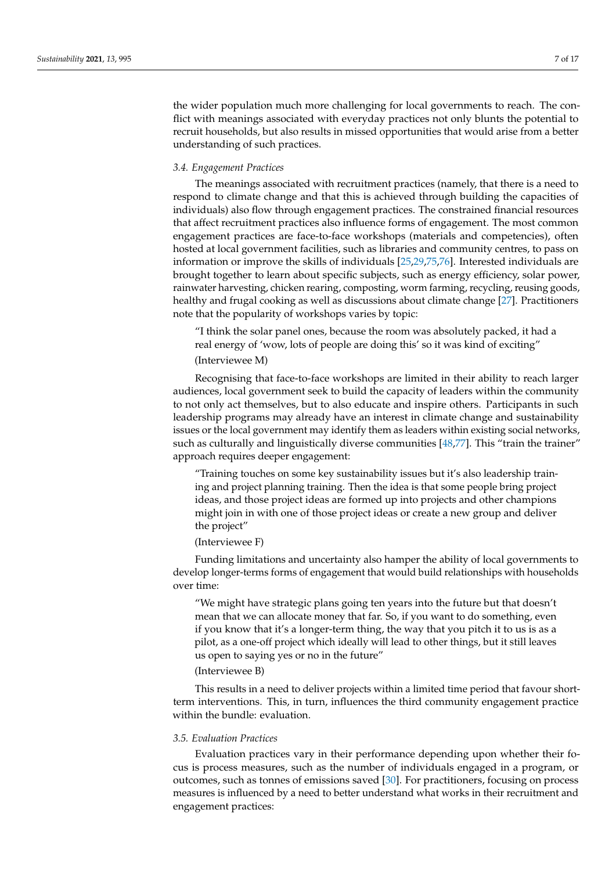the wider population much more challenging for local governments to reach. The conflict with meanings associated with everyday practices not only blunts the potential to recruit households, but also results in missed opportunities that would arise from a better understanding of such practices.

## *3.4. Engagement Practices*

The meanings associated with recruitment practices (namely, that there is a need to respond to climate change and that this is achieved through building the capacities of individuals) also flow through engagement practices. The constrained financial resources that affect recruitment practices also influence forms of engagement. The most common engagement practices are face-to-face workshops (materials and competencies), often hosted at local government facilities, such as libraries and community centres, to pass on information or improve the skills of individuals [\[25](#page-14-26)[,29](#page-14-27)[,75](#page-15-18)[,76\]](#page-15-19). Interested individuals are brought together to learn about specific subjects, such as energy efficiency, solar power, rainwater harvesting, chicken rearing, composting, worm farming, recycling, reusing goods, healthy and frugal cooking as well as discussions about climate change [\[27\]](#page-14-6). Practitioners note that the popularity of workshops varies by topic:

"I think the solar panel ones, because the room was absolutely packed, it had a real energy of 'wow, lots of people are doing this' so it was kind of exciting" (Interviewee M)

Recognising that face-to-face workshops are limited in their ability to reach larger audiences, local government seek to build the capacity of leaders within the community to not only act themselves, but to also educate and inspire others. Participants in such leadership programs may already have an interest in climate change and sustainability issues or the local government may identify them as leaders within existing social networks, such as culturally and linguistically diverse communities [\[48,](#page-14-22)[77\]](#page-15-20). This "train the trainer" approach requires deeper engagement:

"Training touches on some key sustainability issues but it's also leadership training and project planning training. Then the idea is that some people bring project ideas, and those project ideas are formed up into projects and other champions might join in with one of those project ideas or create a new group and deliver the project"

## (Interviewee F)

Funding limitations and uncertainty also hamper the ability of local governments to develop longer-terms forms of engagement that would build relationships with households over time:

"We might have strategic plans going ten years into the future but that doesn't mean that we can allocate money that far. So, if you want to do something, even if you know that it's a longer-term thing, the way that you pitch it to us is as a pilot, as a one-off project which ideally will lead to other things, but it still leaves us open to saying yes or no in the future"

# (Interviewee B)

This results in a need to deliver projects within a limited time period that favour shortterm interventions. This, in turn, influences the third community engagement practice within the bundle: evaluation.

## *3.5. Evaluation Practices*

Evaluation practices vary in their performance depending upon whether their focus is process measures, such as the number of individuals engaged in a program, or outcomes, such as tonnes of emissions saved [\[30\]](#page-14-7). For practitioners, focusing on process measures is influenced by a need to better understand what works in their recruitment and engagement practices: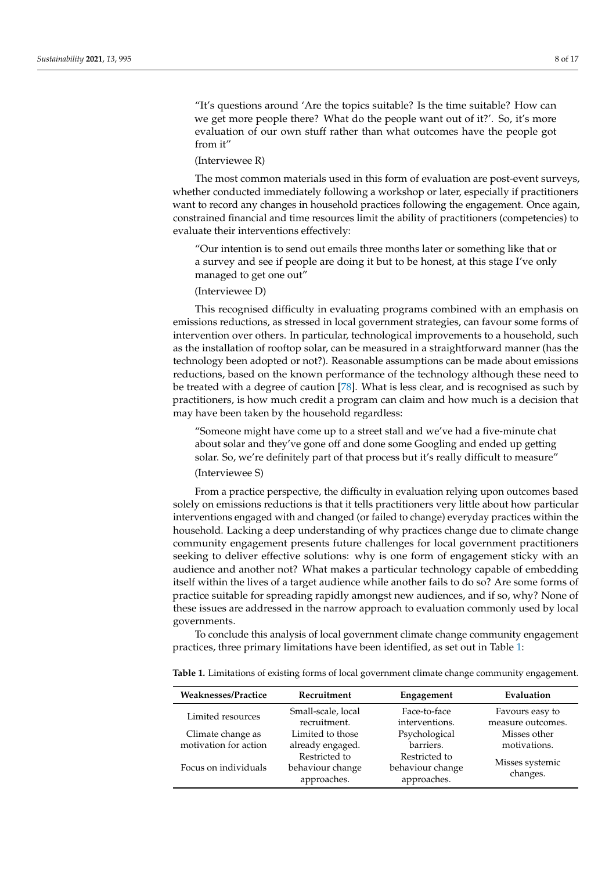"It's questions around 'Are the topics suitable? Is the time suitable? How can we get more people there? What do the people want out of it?'. So, it's more evaluation of our own stuff rather than what outcomes have the people got from it"

#### (Interviewee R)

The most common materials used in this form of evaluation are post-event surveys, whether conducted immediately following a workshop or later, especially if practitioners want to record any changes in household practices following the engagement. Once again, constrained financial and time resources limit the ability of practitioners (competencies) to evaluate their interventions effectively:

"Our intention is to send out emails three months later or something like that or a survey and see if people are doing it but to be honest, at this stage I've only managed to get one out"

# (Interviewee D)

This recognised difficulty in evaluating programs combined with an emphasis on emissions reductions, as stressed in local government strategies, can favour some forms of intervention over others. In particular, technological improvements to a household, such as the installation of rooftop solar, can be measured in a straightforward manner (has the technology been adopted or not?). Reasonable assumptions can be made about emissions reductions, based on the known performance of the technology although these need to be treated with a degree of caution [\[78\]](#page-15-21). What is less clear, and is recognised as such by practitioners, is how much credit a program can claim and how much is a decision that may have been taken by the household regardless:

"Someone might have come up to a street stall and we've had a five-minute chat about solar and they've gone off and done some Googling and ended up getting solar. So, we're definitely part of that process but it's really difficult to measure"

# (Interviewee S)

From a practice perspective, the difficulty in evaluation relying upon outcomes based solely on emissions reductions is that it tells practitioners very little about how particular interventions engaged with and changed (or failed to change) everyday practices within the household. Lacking a deep understanding of why practices change due to climate change community engagement presents future challenges for local government practitioners seeking to deliver effective solutions: why is one form of engagement sticky with an audience and another not? What makes a particular technology capable of embedding itself within the lives of a target audience while another fails to do so? Are some forms of practice suitable for spreading rapidly amongst new audiences, and if so, why? None of these issues are addressed in the narrow approach to evaluation commonly used by local governments.

To conclude this analysis of local government climate change community engagement practices, three primary limitations have been identified, as set out in Table [1:](#page-7-0)

| <b>Weaknesses/Practice</b> | Recruitment                                      | Engagement                                       | Evaluation                  |
|----------------------------|--------------------------------------------------|--------------------------------------------------|-----------------------------|
| Limited resources          | Small-scale, local                               | Face-to-face                                     | Favours easy to             |
|                            | recruitment.                                     | interventions.                                   | measure outcomes.           |
| Climate change as          | Limited to those                                 | Psychological                                    | Misses other                |
| motivation for action      | already engaged.                                 | barriers.                                        | motivations.                |
| Focus on individuals       | Restricted to<br>behaviour change<br>approaches. | Restricted to<br>behaviour change<br>approaches. | Misses systemic<br>changes. |

<span id="page-7-0"></span>**Table 1.** Limitations of existing forms of local government climate change community engagement.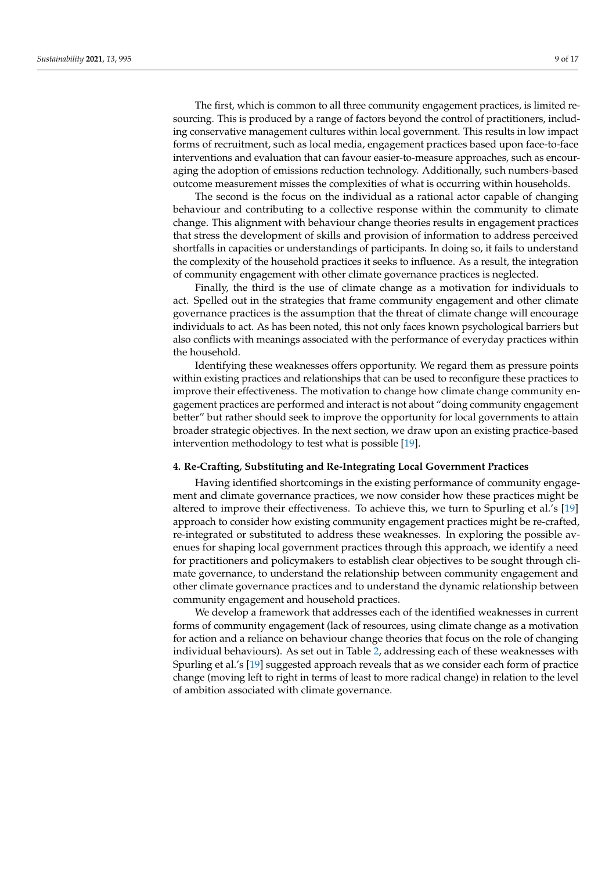The first, which is common to all three community engagement practices, is limited resourcing. This is produced by a range of factors beyond the control of practitioners, including conservative management cultures within local government. This results in low impact forms of recruitment, such as local media, engagement practices based upon face-to-face interventions and evaluation that can favour easier-to-measure approaches, such as encouraging the adoption of emissions reduction technology. Additionally, such numbers-based outcome measurement misses the complexities of what is occurring within households.

The second is the focus on the individual as a rational actor capable of changing behaviour and contributing to a collective response within the community to climate change. This alignment with behaviour change theories results in engagement practices that stress the development of skills and provision of information to address perceived shortfalls in capacities or understandings of participants. In doing so, it fails to understand the complexity of the household practices it seeks to influence. As a result, the integration of community engagement with other climate governance practices is neglected.

Finally, the third is the use of climate change as a motivation for individuals to act. Spelled out in the strategies that frame community engagement and other climate governance practices is the assumption that the threat of climate change will encourage individuals to act. As has been noted, this not only faces known psychological barriers but also conflicts with meanings associated with the performance of everyday practices within the household.

Identifying these weaknesses offers opportunity. We regard them as pressure points within existing practices and relationships that can be used to reconfigure these practices to improve their effectiveness. The motivation to change how climate change community engagement practices are performed and interact is not about "doing community engagement better" but rather should seek to improve the opportunity for local governments to attain broader strategic objectives. In the next section, we draw upon an existing practice-based intervention methodology to test what is possible [\[19\]](#page-14-0).

#### **4. Re-Crafting, Substituting and Re-Integrating Local Government Practices**

Having identified shortcomings in the existing performance of community engagement and climate governance practices, we now consider how these practices might be altered to improve their effectiveness. To achieve this, we turn to Spurling et al.'s [\[19\]](#page-14-0) approach to consider how existing community engagement practices might be re-crafted, re-integrated or substituted to address these weaknesses. In exploring the possible avenues for shaping local government practices through this approach, we identify a need for practitioners and policymakers to establish clear objectives to be sought through climate governance, to understand the relationship between community engagement and other climate governance practices and to understand the dynamic relationship between community engagement and household practices.

We develop a framework that addresses each of the identified weaknesses in current forms of community engagement (lack of resources, using climate change as a motivation for action and a reliance on behaviour change theories that focus on the role of changing individual behaviours). As set out in Table [2,](#page-9-0) addressing each of these weaknesses with Spurling et al.'s [\[19\]](#page-14-0) suggested approach reveals that as we consider each form of practice change (moving left to right in terms of least to more radical change) in relation to the level of ambition associated with climate governance.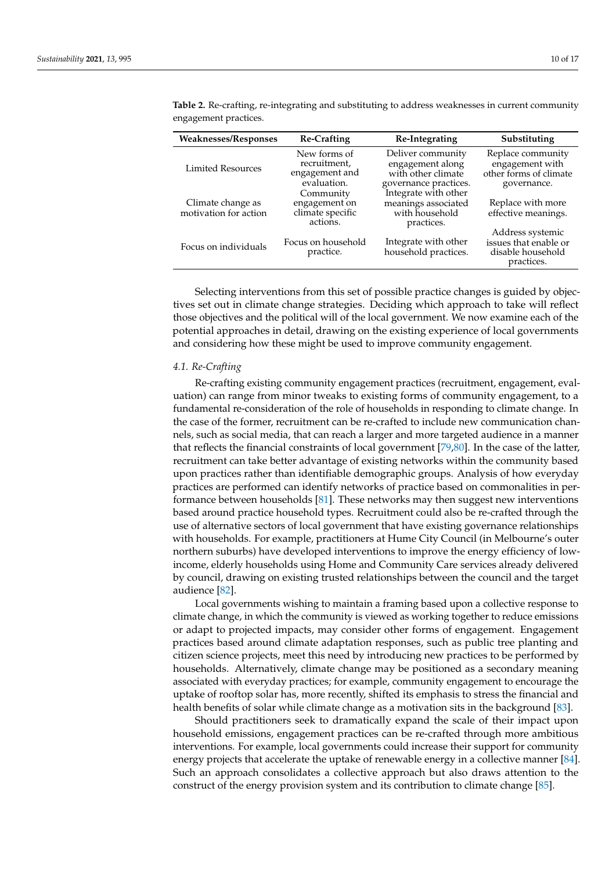| <b>Weaknesses/Responses</b>                | <b>Re-Crafting</b>                                            | Re-Integrating                                                                       | Substituting                                                                  |
|--------------------------------------------|---------------------------------------------------------------|--------------------------------------------------------------------------------------|-------------------------------------------------------------------------------|
| <b>Limited Resources</b>                   | New forms of<br>recruitment,<br>engagement and<br>evaluation. | Deliver community<br>engagement along<br>with other climate<br>governance practices. | Replace community<br>engagement with<br>other forms of climate<br>governance. |
| Climate change as<br>motivation for action | Community<br>engagement on<br>climate specific<br>actions.    | Integrate with other<br>meanings associated<br>with household<br>practices.          | Replace with more<br>effective meanings.                                      |
| Focus on individuals                       | Focus on household<br>practice.                               | Integrate with other<br>household practices.                                         | Address systemic<br>issues that enable or<br>disable household<br>practices.  |

<span id="page-9-0"></span>**Table 2.** Re-crafting, re-integrating and substituting to address weaknesses in current community engagement practices.

Selecting interventions from this set of possible practice changes is guided by objectives set out in climate change strategies. Deciding which approach to take will reflect those objectives and the political will of the local government. We now examine each of the potential approaches in detail, drawing on the existing experience of local governments and considering how these might be used to improve community engagement.

### *4.1. Re-Crafting*

Re-crafting existing community engagement practices (recruitment, engagement, evaluation) can range from minor tweaks to existing forms of community engagement, to a fundamental re-consideration of the role of households in responding to climate change. In the case of the former, recruitment can be re-crafted to include new communication channels, such as social media, that can reach a larger and more targeted audience in a manner that reflects the financial constraints of local government [\[79,](#page-15-22)[80\]](#page-15-23). In the case of the latter, recruitment can take better advantage of existing networks within the community based upon practices rather than identifiable demographic groups. Analysis of how everyday practices are performed can identify networks of practice based on commonalities in performance between households [\[81\]](#page-15-24). These networks may then suggest new interventions based around practice household types. Recruitment could also be re-crafted through the use of alternative sectors of local government that have existing governance relationships with households. For example, practitioners at Hume City Council (in Melbourne's outer northern suburbs) have developed interventions to improve the energy efficiency of lowincome, elderly households using Home and Community Care services already delivered by council, drawing on existing trusted relationships between the council and the target audience [\[82\]](#page-15-25).

Local governments wishing to maintain a framing based upon a collective response to climate change, in which the community is viewed as working together to reduce emissions or adapt to projected impacts, may consider other forms of engagement. Engagement practices based around climate adaptation responses, such as public tree planting and citizen science projects, meet this need by introducing new practices to be performed by households. Alternatively, climate change may be positioned as a secondary meaning associated with everyday practices; for example, community engagement to encourage the uptake of rooftop solar has, more recently, shifted its emphasis to stress the financial and health benefits of solar while climate change as a motivation sits in the background [\[83\]](#page-15-26).

Should practitioners seek to dramatically expand the scale of their impact upon household emissions, engagement practices can be re-crafted through more ambitious interventions. For example, local governments could increase their support for community energy projects that accelerate the uptake of renewable energy in a collective manner [\[84\]](#page-15-27). Such an approach consolidates a collective approach but also draws attention to the construct of the energy provision system and its contribution to climate change [\[85\]](#page-15-28).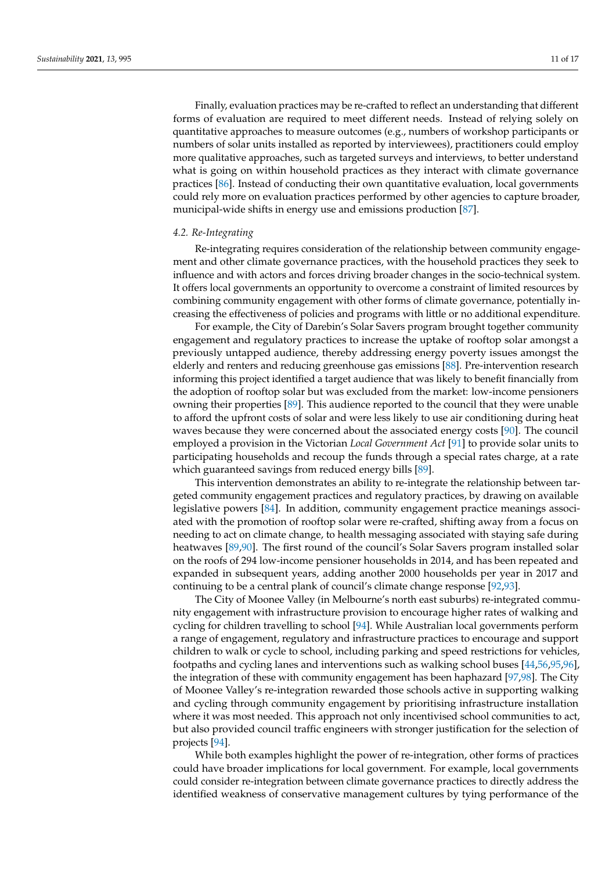Finally, evaluation practices may be re-crafted to reflect an understanding that different forms of evaluation are required to meet different needs. Instead of relying solely on quantitative approaches to measure outcomes (e.g., numbers of workshop participants or numbers of solar units installed as reported by interviewees), practitioners could employ more qualitative approaches, such as targeted surveys and interviews, to better understand what is going on within household practices as they interact with climate governance practices [\[86\]](#page-15-29). Instead of conducting their own quantitative evaluation, local governments could rely more on evaluation practices performed by other agencies to capture broader, municipal-wide shifts in energy use and emissions production [\[87\]](#page-15-30).

### *4.2. Re-Integrating*

Re-integrating requires consideration of the relationship between community engagement and other climate governance practices, with the household practices they seek to influence and with actors and forces driving broader changes in the socio-technical system. It offers local governments an opportunity to overcome a constraint of limited resources by combining community engagement with other forms of climate governance, potentially increasing the effectiveness of policies and programs with little or no additional expenditure.

For example, the City of Darebin's Solar Savers program brought together community engagement and regulatory practices to increase the uptake of rooftop solar amongst a previously untapped audience, thereby addressing energy poverty issues amongst the elderly and renters and reducing greenhouse gas emissions [\[88\]](#page-15-31). Pre-intervention research informing this project identified a target audience that was likely to benefit financially from the adoption of rooftop solar but was excluded from the market: low-income pensioners owning their properties [\[89\]](#page-15-32). This audience reported to the council that they were unable to afford the upfront costs of solar and were less likely to use air conditioning during heat waves because they were concerned about the associated energy costs [\[90\]](#page-15-33). The council employed a provision in the Victorian *Local Government Act* [\[91\]](#page-15-34) to provide solar units to participating households and recoup the funds through a special rates charge, at a rate which guaranteed savings from reduced energy bills [\[89\]](#page-15-32).

This intervention demonstrates an ability to re-integrate the relationship between targeted community engagement practices and regulatory practices, by drawing on available legislative powers [\[84\]](#page-15-27). In addition, community engagement practice meanings associated with the promotion of rooftop solar were re-crafted, shifting away from a focus on needing to act on climate change, to health messaging associated with staying safe during heatwaves [\[89,](#page-15-32)[90\]](#page-15-33). The first round of the council's Solar Savers program installed solar on the roofs of 294 low-income pensioner households in 2014, and has been repeated and expanded in subsequent years, adding another 2000 households per year in 2017 and continuing to be a central plank of council's climate change response [\[92](#page-15-35)[,93\]](#page-16-0).

The City of Moonee Valley (in Melbourne's north east suburbs) re-integrated community engagement with infrastructure provision to encourage higher rates of walking and cycling for children travelling to school [\[94\]](#page-16-1). While Australian local governments perform a range of engagement, regulatory and infrastructure practices to encourage and support children to walk or cycle to school, including parking and speed restrictions for vehicles, footpaths and cycling lanes and interventions such as walking school buses [\[44,](#page-14-20)[56,](#page-15-2)[95,](#page-16-2)[96\]](#page-16-3), the integration of these with community engagement has been haphazard [\[97](#page-16-4)[,98\]](#page-16-5). The City of Moonee Valley's re-integration rewarded those schools active in supporting walking and cycling through community engagement by prioritising infrastructure installation where it was most needed. This approach not only incentivised school communities to act, but also provided council traffic engineers with stronger justification for the selection of projects [\[94\]](#page-16-1).

While both examples highlight the power of re-integration, other forms of practices could have broader implications for local government. For example, local governments could consider re-integration between climate governance practices to directly address the identified weakness of conservative management cultures by tying performance of the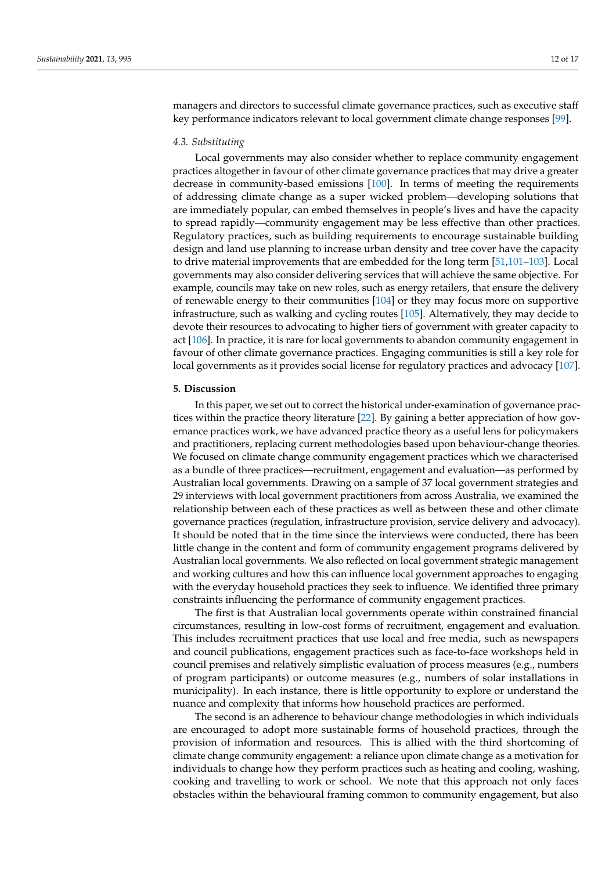managers and directors to successful climate governance practices, such as executive staff key performance indicators relevant to local government climate change responses [\[99\]](#page-16-6).

#### *4.3. Substituting*

Local governments may also consider whether to replace community engagement practices altogether in favour of other climate governance practices that may drive a greater decrease in community-based emissions [\[100\]](#page-16-7). In terms of meeting the requirements of addressing climate change as a super wicked problem—developing solutions that are immediately popular, can embed themselves in people's lives and have the capacity to spread rapidly—community engagement may be less effective than other practices. Regulatory practices, such as building requirements to encourage sustainable building design and land use planning to increase urban density and tree cover have the capacity to drive material improvements that are embedded for the long term [\[51,](#page-14-28)[101](#page-16-8)[–103\]](#page-16-9). Local governments may also consider delivering services that will achieve the same objective. For example, councils may take on new roles, such as energy retailers, that ensure the delivery of renewable energy to their communities [\[104\]](#page-16-10) or they may focus more on supportive infrastructure, such as walking and cycling routes [\[105\]](#page-16-11). Alternatively, they may decide to devote their resources to advocating to higher tiers of government with greater capacity to act [\[106\]](#page-16-12). In practice, it is rare for local governments to abandon community engagement in favour of other climate governance practices. Engaging communities is still a key role for local governments as it provides social license for regulatory practices and advocacy [\[107\]](#page-16-13).

# **5. Discussion**

In this paper, we set out to correct the historical under-examination of governance practices within the practice theory literature [\[22\]](#page-14-2). By gaining a better appreciation of how governance practices work, we have advanced practice theory as a useful lens for policymakers and practitioners, replacing current methodologies based upon behaviour-change theories. We focused on climate change community engagement practices which we characterised as a bundle of three practices—recruitment, engagement and evaluation—as performed by Australian local governments. Drawing on a sample of 37 local government strategies and 29 interviews with local government practitioners from across Australia, we examined the relationship between each of these practices as well as between these and other climate governance practices (regulation, infrastructure provision, service delivery and advocacy). It should be noted that in the time since the interviews were conducted, there has been little change in the content and form of community engagement programs delivered by Australian local governments. We also reflected on local government strategic management and working cultures and how this can influence local government approaches to engaging with the everyday household practices they seek to influence. We identified three primary constraints influencing the performance of community engagement practices.

The first is that Australian local governments operate within constrained financial circumstances, resulting in low-cost forms of recruitment, engagement and evaluation. This includes recruitment practices that use local and free media, such as newspapers and council publications, engagement practices such as face-to-face workshops held in council premises and relatively simplistic evaluation of process measures (e.g., numbers of program participants) or outcome measures (e.g., numbers of solar installations in municipality). In each instance, there is little opportunity to explore or understand the nuance and complexity that informs how household practices are performed.

The second is an adherence to behaviour change methodologies in which individuals are encouraged to adopt more sustainable forms of household practices, through the provision of information and resources. This is allied with the third shortcoming of climate change community engagement: a reliance upon climate change as a motivation for individuals to change how they perform practices such as heating and cooling, washing, cooking and travelling to work or school. We note that this approach not only faces obstacles within the behavioural framing common to community engagement, but also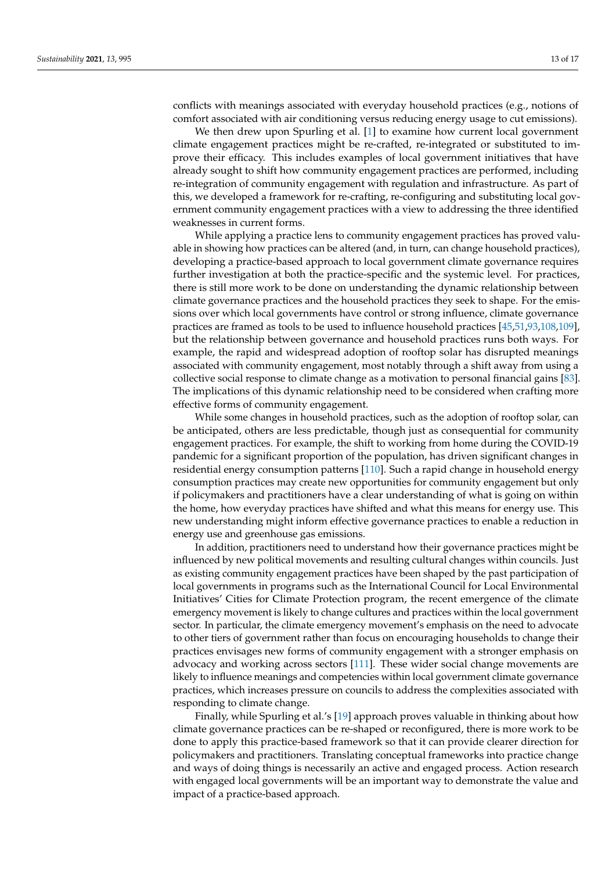conflicts with meanings associated with everyday household practices (e.g., notions of comfort associated with air conditioning versus reducing energy usage to cut emissions).

We then drew upon Spurling et al. [\[1\]](#page-13-0) to examine how current local government climate engagement practices might be re-crafted, re-integrated or substituted to improve their efficacy. This includes examples of local government initiatives that have already sought to shift how community engagement practices are performed, including re-integration of community engagement with regulation and infrastructure. As part of this, we developed a framework for re-crafting, re-configuring and substituting local government community engagement practices with a view to addressing the three identified weaknesses in current forms.

While applying a practice lens to community engagement practices has proved valuable in showing how practices can be altered (and, in turn, can change household practices), developing a practice-based approach to local government climate governance requires further investigation at both the practice-specific and the systemic level. For practices, there is still more work to be done on understanding the dynamic relationship between climate governance practices and the household practices they seek to shape. For the emissions over which local governments have control or strong influence, climate governance practices are framed as tools to be used to influence household practices [\[45,](#page-14-25)[51,](#page-14-28)[93](#page-16-0)[,108](#page-16-14)[,109\]](#page-16-15), but the relationship between governance and household practices runs both ways. For example, the rapid and widespread adoption of rooftop solar has disrupted meanings associated with community engagement, most notably through a shift away from using a collective social response to climate change as a motivation to personal financial gains [\[83\]](#page-15-26). The implications of this dynamic relationship need to be considered when crafting more effective forms of community engagement.

While some changes in household practices, such as the adoption of rooftop solar, can be anticipated, others are less predictable, though just as consequential for community engagement practices. For example, the shift to working from home during the COVID-19 pandemic for a significant proportion of the population, has driven significant changes in residential energy consumption patterns [\[110\]](#page-16-16). Such a rapid change in household energy consumption practices may create new opportunities for community engagement but only if policymakers and practitioners have a clear understanding of what is going on within the home, how everyday practices have shifted and what this means for energy use. This new understanding might inform effective governance practices to enable a reduction in energy use and greenhouse gas emissions.

In addition, practitioners need to understand how their governance practices might be influenced by new political movements and resulting cultural changes within councils. Just as existing community engagement practices have been shaped by the past participation of local governments in programs such as the International Council for Local Environmental Initiatives' Cities for Climate Protection program, the recent emergence of the climate emergency movement is likely to change cultures and practices within the local government sector. In particular, the climate emergency movement's emphasis on the need to advocate to other tiers of government rather than focus on encouraging households to change their practices envisages new forms of community engagement with a stronger emphasis on advocacy and working across sectors [\[111\]](#page-16-17). These wider social change movements are likely to influence meanings and competencies within local government climate governance practices, which increases pressure on councils to address the complexities associated with responding to climate change.

Finally, while Spurling et al.'s [\[19\]](#page-14-0) approach proves valuable in thinking about how climate governance practices can be re-shaped or reconfigured, there is more work to be done to apply this practice-based framework so that it can provide clearer direction for policymakers and practitioners. Translating conceptual frameworks into practice change and ways of doing things is necessarily an active and engaged process. Action research with engaged local governments will be an important way to demonstrate the value and impact of a practice-based approach.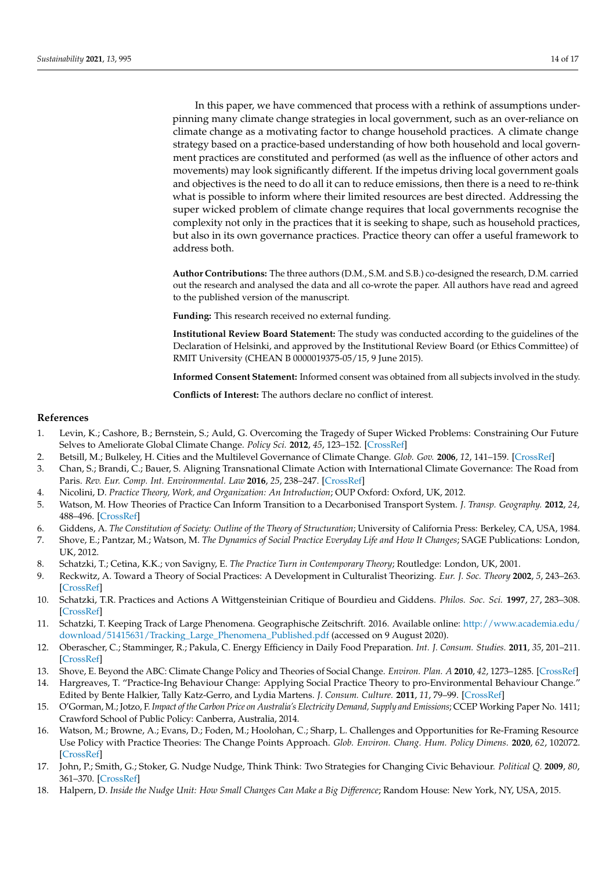In this paper, we have commenced that process with a rethink of assumptions underpinning many climate change strategies in local government, such as an over-reliance on climate change as a motivating factor to change household practices. A climate change strategy based on a practice-based understanding of how both household and local government practices are constituted and performed (as well as the influence of other actors and movements) may look significantly different. If the impetus driving local government goals and objectives is the need to do all it can to reduce emissions, then there is a need to re-think what is possible to inform where their limited resources are best directed. Addressing the super wicked problem of climate change requires that local governments recognise the complexity not only in the practices that it is seeking to shape, such as household practices, but also in its own governance practices. Practice theory can offer a useful framework to address both.

**Author Contributions:** The three authors (D.M., S.M. and S.B.) co-designed the research, D.M. carried out the research and analysed the data and all co-wrote the paper. All authors have read and agreed to the published version of the manuscript.

**Funding:** This research received no external funding.

**Institutional Review Board Statement:** The study was conducted according to the guidelines of the Declaration of Helsinki, and approved by the Institutional Review Board (or Ethics Committee) of RMIT University (CHEAN B 0000019375-05/15, 9 June 2015).

**Informed Consent Statement:** Informed consent was obtained from all subjects involved in the study.

**Conflicts of Interest:** The authors declare no conflict of interest.

## **References**

- <span id="page-13-0"></span>1. Levin, K.; Cashore, B.; Bernstein, S.; Auld, G. Overcoming the Tragedy of Super Wicked Problems: Constraining Our Future Selves to Ameliorate Global Climate Change. *Policy Sci.* **2012**, *45*, 123–152. [\[CrossRef\]](http://doi.org/10.1007/s11077-012-9151-0)
- <span id="page-13-1"></span>2. Betsill, M.; Bulkeley, H. Cities and the Multilevel Governance of Climate Change. *Glob. Gov.* **2006**, *12*, 141–159. [\[CrossRef\]](http://doi.org/10.1163/19426720-01202004)
- <span id="page-13-2"></span>3. Chan, S.; Brandi, C.; Bauer, S. Aligning Transnational Climate Action with International Climate Governance: The Road from Paris. *Rev. Eur. Comp. Int. Environmental. Law* **2016**, *25*, 238–247. [\[CrossRef\]](http://doi.org/10.1111/reel.12168)
- <span id="page-13-3"></span>4. Nicolini, D. *Practice Theory, Work, and Organization: An Introduction*; OUP Oxford: Oxford, UK, 2012.
- <span id="page-13-4"></span>5. Watson, M. How Theories of Practice Can Inform Transition to a Decarbonised Transport System. *J. Transp. Geography.* **2012**, *24*, 488–496. [\[CrossRef\]](http://doi.org/10.1016/j.jtrangeo.2012.04.002)
- <span id="page-13-5"></span>6. Giddens, A. *The Constitution of Society: Outline of the Theory of Structuration*; University of California Press: Berkeley, CA, USA, 1984.
- <span id="page-13-6"></span>7. Shove, E.; Pantzar, M.; Watson, M. *The Dynamics of Social Practice Everyday Life and How It Changes*; SAGE Publications: London, UK, 2012.
- <span id="page-13-7"></span>8. Schatzki, T.; Cetina, K.K.; von Savigny, E. *The Practice Turn in Contemporary Theory*; Routledge: London, UK, 2001.
- <span id="page-13-8"></span>9. Reckwitz, A. Toward a Theory of Social Practices: A Development in Culturalist Theorizing. *Eur. J. Soc. Theory* **2002**, *5*, 243–263. [\[CrossRef\]](http://doi.org/10.1177/13684310222225432)
- <span id="page-13-9"></span>10. Schatzki, T.R. Practices and Actions A Wittgensteinian Critique of Bourdieu and Giddens. *Philos. Soc. Sci.* **1997**, *27*, 283–308. [\[CrossRef\]](http://doi.org/10.1177/004839319702700301)
- <span id="page-13-10"></span>11. Schatzki, T. Keeping Track of Large Phenomena. Geographische Zeitschrift. 2016. Available online: [http://www.academia.edu/](http://www.academia.edu/download/51415631/Tracking_Large_Phenomena_Published.pdf) [download/51415631/Tracking\\_Large\\_Phenomena\\_Published.pdf](http://www.academia.edu/download/51415631/Tracking_Large_Phenomena_Published.pdf) (accessed on 9 August 2020).
- <span id="page-13-11"></span>12. Oberascher, C.; Stamminger, R.; Pakula, C. Energy Efficiency in Daily Food Preparation. *Int. J. Consum. Studies.* **2011**, *35*, 201–211. [\[CrossRef\]](http://doi.org/10.1111/j.1470-6431.2010.00963.x)
- <span id="page-13-12"></span>13. Shove, E. Beyond the ABC: Climate Change Policy and Theories of Social Change. *Environ. Plan. A* **2010**, *42*, 1273–1285. [\[CrossRef\]](http://doi.org/10.1068/a42282)
- <span id="page-13-13"></span>14. Hargreaves, T. "Practice-Ing Behaviour Change: Applying Social Practice Theory to pro-Environmental Behaviour Change." Edited by Bente Halkier, Tally Katz-Gerro, and Lydia Martens. *J. Consum. Culture.* **2011**, *11*, 79–99. [\[CrossRef\]](http://doi.org/10.1177/1469540510390500)
- <span id="page-13-14"></span>15. O'Gorman, M.; Jotzo, F. *Impact of the Carbon Price on Australia's Electricity Demand, Supply and Emissions*; CCEP Working Paper No. 1411; Crawford School of Public Policy: Canberra, Australia, 2014.
- <span id="page-13-15"></span>16. Watson, M.; Browne, A.; Evans, D.; Foden, M.; Hoolohan, C.; Sharp, L. Challenges and Opportunities for Re-Framing Resource Use Policy with Practice Theories: The Change Points Approach. *Glob. Environ. Chang. Hum. Policy Dimens.* **2020**, *62*, 102072. [\[CrossRef\]](http://doi.org/10.1016/j.gloenvcha.2020.102072)
- <span id="page-13-16"></span>17. John, P.; Smith, G.; Stoker, G. Nudge Nudge, Think Think: Two Strategies for Changing Civic Behaviour. *Political Q.* **2009**, *80*, 361–370. [\[CrossRef\]](http://doi.org/10.1111/j.1467-923X.2009.02001.x)
- <span id="page-13-17"></span>18. Halpern, D. *Inside the Nudge Unit: How Small Changes Can Make a Big Difference*; Random House: New York, NY, USA, 2015.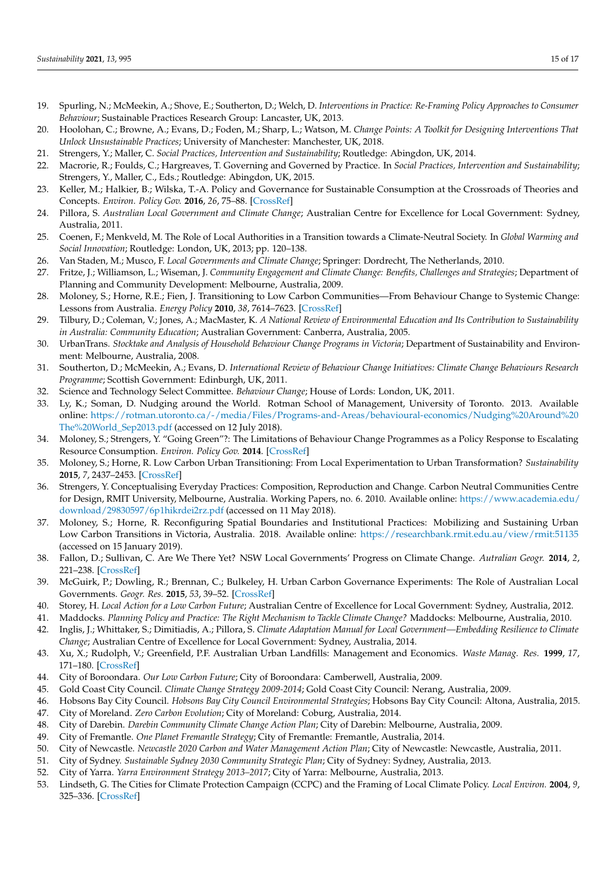- <span id="page-14-0"></span>19. Spurling, N.; McMeekin, A.; Shove, E.; Southerton, D.; Welch, D. *Interventions in Practice: Re-Framing Policy Approaches to Consumer Behaviour*; Sustainable Practices Research Group: Lancaster, UK, 2013.
- 20. Hoolohan, C.; Browne, A.; Evans, D.; Foden, M.; Sharp, L.; Watson, M. *Change Points: A Toolkit for Designing Interventions That Unlock Unsustainable Practices*; University of Manchester: Manchester, UK, 2018.
- <span id="page-14-1"></span>21. Strengers, Y.; Maller, C. *Social Practices, Intervention and Sustainability*; Routledge: Abingdon, UK, 2014.
- <span id="page-14-2"></span>22. Macrorie, R.; Foulds, C.; Hargreaves, T. Governing and Governed by Practice. In *Social Practices, Intervention and Sustainability*; Strengers, Y., Maller, C., Eds.; Routledge: Abingdon, UK, 2015.
- <span id="page-14-3"></span>23. Keller, M.; Halkier, B.; Wilska, T.-A. Policy and Governance for Sustainable Consumption at the Crossroads of Theories and Concepts. *Environ. Policy Gov.* **2016**, *26*, 75–88. [\[CrossRef\]](http://doi.org/10.1002/eet.1702)
- <span id="page-14-4"></span>24. Pillora, S. *Australian Local Government and Climate Change*; Australian Centre for Excellence for Local Government: Sydney, Australia, 2011.
- <span id="page-14-26"></span>25. Coenen, F.; Menkveld, M. The Role of Local Authorities in a Transition towards a Climate-Neutral Society. In *Global Warming and Social Innovation*; Routledge: London, UK, 2013; pp. 120–138.
- <span id="page-14-5"></span>26. Van Staden, M.; Musco, F. *Local Governments and Climate Change*; Springer: Dordrecht, The Netherlands, 2010.
- <span id="page-14-6"></span>27. Fritze, J.; Williamson, L.; Wiseman, J. *Community Engagement and Climate Change: Benefits, Challenges and Strategies*; Department of Planning and Community Development: Melbourne, Australia, 2009.
- 28. Moloney, S.; Horne, R.E.; Fien, J. Transitioning to Low Carbon Communities—From Behaviour Change to Systemic Change: Lessons from Australia. *Energy Policy* **2010**, *38*, 7614–7623. [\[CrossRef\]](http://doi.org/10.1016/j.enpol.2009.06.058)
- <span id="page-14-27"></span>29. Tilbury, D.; Coleman, V.; Jones, A.; MacMaster, K. *A National Review of Environmental Education and Its Contribution to Sustainability in Australia: Community Education*; Australian Government: Canberra, Australia, 2005.
- <span id="page-14-7"></span>30. UrbanTrans. *Stocktake and Analysis of Household Behaviour Change Programs in Victoria*; Department of Sustainability and Environment: Melbourne, Australia, 2008.
- <span id="page-14-8"></span>31. Southerton, D.; McMeekin, A.; Evans, D. *International Review of Behaviour Change Initiatives: Climate Change Behaviours Research Programme*; Scottish Government: Edinburgh, UK, 2011.
- <span id="page-14-9"></span>32. Science and Technology Select Committee. *Behaviour Change*; House of Lords: London, UK, 2011.
- <span id="page-14-10"></span>33. Ly, K.; Soman, D. Nudging around the World. Rotman School of Management, University of Toronto. 2013. Available online: [https://rotman.utoronto.ca/-/media/Files/Programs-and-Areas/behavioural-economics/Nudging%20Around%20](https://rotman.utoronto.ca/-/media/Files/Programs-and-Areas/behavioural-economics/Nudging%20Around%20The%20World_Sep2013.pdf) [The%20World\\_Sep2013.pdf](https://rotman.utoronto.ca/-/media/Files/Programs-and-Areas/behavioural-economics/Nudging%20Around%20The%20World_Sep2013.pdf) (accessed on 12 July 2018).
- <span id="page-14-11"></span>34. Moloney, S.; Strengers, Y. "Going Green"?: The Limitations of Behaviour Change Programmes as a Policy Response to Escalating Resource Consumption. *Environ. Policy Gov.* **2014**. [\[CrossRef\]](http://doi.org/10.1002/eet.1642)
- <span id="page-14-12"></span>35. Moloney, S.; Horne, R. Low Carbon Urban Transitioning: From Local Experimentation to Urban Transformation? *Sustainability* **2015**, *7*, 2437–2453. [\[CrossRef\]](http://doi.org/10.3390/su7032437)
- <span id="page-14-13"></span>36. Strengers, Y. Conceptualising Everyday Practices: Composition, Reproduction and Change. Carbon Neutral Communities Centre for Design, RMIT University, Melbourne, Australia. Working Papers, no. 6. 2010. Available online: [https://www.academia.edu/](https://www.academia.edu/download/29830597/6p1hikrdei2rz.pdf) [download/29830597/6p1hikrdei2rz.pdf](https://www.academia.edu/download/29830597/6p1hikrdei2rz.pdf) (accessed on 11 May 2018).
- <span id="page-14-14"></span>37. Moloney, S.; Horne, R. Reconfiguring Spatial Boundaries and Institutional Practices: Mobilizing and Sustaining Urban Low Carbon Transitions in Victoria, Australia. 2018. Available online: <https://researchbank.rmit.edu.au/view/rmit:51135> (accessed on 15 January 2019).
- <span id="page-14-15"></span>38. Fallon, D.; Sullivan, C. Are We There Yet? NSW Local Governments' Progress on Climate Change. *Autralian Geogr.* **2014**, *2*, 221–238. [\[CrossRef\]](http://doi.org/10.1080/00049182.2014.899030)
- 39. McGuirk, P.; Dowling, R.; Brennan, C.; Bulkeley, H. Urban Carbon Governance Experiments: The Role of Australian Local Governments. *Geogr. Res.* **2015**, *53*, 39–52. [\[CrossRef\]](http://doi.org/10.1111/1745-5871.12098)
- <span id="page-14-16"></span>40. Storey, H. *Local Action for a Low Carbon Future*; Australian Centre of Excellence for Local Government: Sydney, Australia, 2012.
- <span id="page-14-17"></span>41. Maddocks. *Planning Policy and Practice: The Right Mechanism to Tackle Climate Change?* Maddocks: Melbourne, Australia, 2010.
- <span id="page-14-18"></span>42. Inglis, J.; Whittaker, S.; Dimitiadis, A.; Pillora, S. *Climate Adaptation Manual for Local Government—Embedding Resilience to Climate Change*; Australian Centre of Excellence for Local Government: Sydney, Australia, 2014.
- <span id="page-14-19"></span>43. Xu, X.; Rudolph, V.; Greenfield, P.F. Australian Urban Landfills: Management and Economics. *Waste Manag. Res.* **1999**, *17*, 171–180. [\[CrossRef\]](http://doi.org/10.1034/j.1399-3070.1999.00039.x)
- <span id="page-14-20"></span>44. City of Boroondara. *Our Low Carbon Future*; City of Boroondara: Camberwell, Australia, 2009.
- <span id="page-14-25"></span>45. Gold Coast City Council. *Climate Change Strategy 2009-2014*; Gold Coast City Council: Nerang, Australia, 2009.
- 46. Hobsons Bay City Council. *Hobsons Bay City Council Environmental Strategies*; Hobsons Bay City Council: Altona, Australia, 2015.
- <span id="page-14-21"></span>47. City of Moreland. *Zero Carbon Evolution*; City of Moreland: Coburg, Australia, 2014.
- <span id="page-14-22"></span>48. City of Darebin. *Darebin Community Climate Change Action Plan*; City of Darebin: Melbourne, Australia, 2009.
- 49. City of Fremantle. *One Planet Fremantle Strategy*; City of Fremantle: Fremantle, Australia, 2014.
- 50. City of Newcastle. *Newcastle 2020 Carbon and Water Management Action Plan*; City of Newcastle: Newcastle, Australia, 2011.
- <span id="page-14-28"></span>51. City of Sydney. *Sustainable Sydney 2030 Community Strategic Plan*; City of Sydney: Sydney, Australia, 2013.
- <span id="page-14-23"></span>52. City of Yarra. *Yarra Environment Strategy 2013–2017*; City of Yarra: Melbourne, Australia, 2013.
- <span id="page-14-24"></span>53. Lindseth, G. The Cities for Climate Protection Campaign (CCPC) and the Framing of Local Climate Policy. *Local Environ.* **2004**, *9*, 325–336. [\[CrossRef\]](http://doi.org/10.1080/1354983042000246252)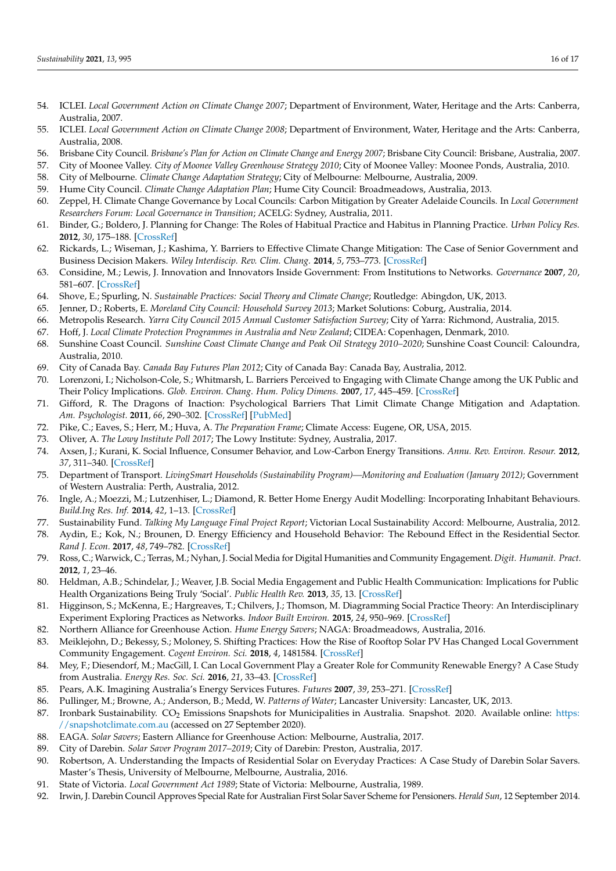- <span id="page-15-0"></span>54. ICLEI. *Local Government Action on Climate Change 2007*; Department of Environment, Water, Heritage and the Arts: Canberra, Australia, 2007.
- <span id="page-15-1"></span>55. ICLEI. *Local Government Action on Climate Change 2008*; Department of Environment, Water, Heritage and the Arts: Canberra, Australia, 2008.
- <span id="page-15-2"></span>56. Brisbane City Council. *Brisbane's Plan for Action on Climate Change and Energy 2007*; Brisbane City Council: Brisbane, Australia, 2007.
- <span id="page-15-3"></span>57. City of Moonee Valley. *City of Moonee Valley Greenhouse Strategy 2010*; City of Moonee Valley: Moonee Ponds, Australia, 2010.
- <span id="page-15-4"></span>58. City of Melbourne. *Climate Change Adaptation Strategy*; City of Melbourne: Melbourne, Australia, 2009.
- <span id="page-15-5"></span>59. Hume City Council. *Climate Change Adaptation Plan*; Hume City Council: Broadmeadows, Australia, 2013.
- <span id="page-15-6"></span>60. Zeppel, H. Climate Change Governance by Local Councils: Carbon Mitigation by Greater Adelaide Councils. In *Local Government Researchers Forum: Local Governance in Transition*; ACELG: Sydney, Australia, 2011.
- <span id="page-15-7"></span>61. Binder, G.; Boldero, J. Planning for Change: The Roles of Habitual Practice and Habitus in Planning Practice. *Urban Policy Res.* **2012**, *30*, 175–188. [\[CrossRef\]](http://doi.org/10.1080/08111146.2012.672059)
- <span id="page-15-8"></span>62. Rickards, L.; Wiseman, J.; Kashima, Y. Barriers to Effective Climate Change Mitigation: The Case of Senior Government and Business Decision Makers. *Wiley Interdiscip. Rev. Clim. Chang.* **2014**, *5*, 753–773. [\[CrossRef\]](http://doi.org/10.1002/wcc.305)
- <span id="page-15-9"></span>63. Considine, M.; Lewis, J. Innovation and Innovators Inside Government: From Institutions to Networks. *Governance* **2007**, *20*, 581–607. [\[CrossRef\]](http://doi.org/10.1111/j.1468-0491.2007.00373.x)
- <span id="page-15-10"></span>64. Shove, E.; Spurling, N. *Sustainable Practices: Social Theory and Climate Change*; Routledge: Abingdon, UK, 2013.
- <span id="page-15-11"></span>65. Jenner, D.; Roberts, E. *Moreland City Council: Household Survey 2013*; Market Solutions: Coburg, Australia, 2014.
- 66. Metropolis Research. *Yarra City Council 2015 Annual Customer Satisfaction Survey*; City of Yarra: Richmond, Australia, 2015.
- <span id="page-15-12"></span>67. Hoff, J. *Local Climate Protection Programmes in Australia and New Zealand*; CIDEA: Copenhagen, Denmark, 2010.
- <span id="page-15-13"></span>68. Sunshine Coast Council. *Sunshine Coast Climate Change and Peak Oil Strategy 2010–2020*; Sunshine Coast Council: Caloundra, Australia, 2010.
- <span id="page-15-14"></span>69. City of Canada Bay. *Canada Bay Futures Plan 2012*; City of Canada Bay: Canada Bay, Australia, 2012.
- <span id="page-15-15"></span>70. Lorenzoni, I.; Nicholson-Cole, S.; Whitmarsh, L. Barriers Perceived to Engaging with Climate Change among the UK Public and Their Policy Implications. *Glob. Environ. Chang. Hum. Policy Dimens.* **2007**, *17*, 445–459. [\[CrossRef\]](http://doi.org/10.1016/j.gloenvcha.2007.01.004)
- <span id="page-15-16"></span>71. Gifford, R. The Dragons of Inaction: Psychological Barriers That Limit Climate Change Mitigation and Adaptation. *Am. Psychologist.* **2011**, *66*, 290–302. [\[CrossRef\]](http://doi.org/10.1037/a0023566) [\[PubMed\]](http://www.ncbi.nlm.nih.gov/pubmed/21553954)
- 72. Pike, C.; Eaves, S.; Herr, M.; Huva, A. *The Preparation Frame*; Climate Access: Eugene, OR, USA, 2015.
- 73. Oliver, A. *The Lowy Institute Poll 2017*; The Lowy Institute: Sydney, Australia, 2017.
- <span id="page-15-17"></span>74. Axsen, J.; Kurani, K. Social Influence, Consumer Behavior, and Low-Carbon Energy Transitions. *Annu. Rev. Environ. Resour.* **2012**, *37*, 311–340. [\[CrossRef\]](http://doi.org/10.1146/annurev-environ-062111-145049)
- <span id="page-15-18"></span>75. Department of Transport. *LivingSmart Households (Sustainability Program)—Monitoring and Evaluation (January 2012)*; Government of Western Australia: Perth, Australia, 2012.
- <span id="page-15-19"></span>76. Ingle, A.; Moezzi, M.; Lutzenhiser, L.; Diamond, R. Better Home Energy Audit Modelling: Incorporating Inhabitant Behaviours. *Build.Ing Res. Inf.* **2014**, *42*, 1–13. [\[CrossRef\]](http://doi.org/10.1080/09613218.2014.890776)
- <span id="page-15-20"></span>77. Sustainability Fund. *Talking My Language Final Project Report*; Victorian Local Sustainability Accord: Melbourne, Australia, 2012.
- <span id="page-15-21"></span>78. Aydin, E.; Kok, N.; Brounen, D. Energy Efficiency and Household Behavior: The Rebound Effect in the Residential Sector. *Rand J. Econ.* **2017**, *48*, 749–782. [\[CrossRef\]](http://doi.org/10.1111/1756-2171.12190)
- <span id="page-15-22"></span>79. Ross, C.; Warwick, C.; Terras, M.; Nyhan, J. Social Media for Digital Humanities and Community Engagement. *Digit. Humanit. Pract.* **2012**, *1*, 23–46.
- <span id="page-15-23"></span>80. Heldman, A.B.; Schindelar, J.; Weaver, J.B. Social Media Engagement and Public Health Communication: Implications for Public Health Organizations Being Truly 'Social'. *Public Health Rev.* **2013**, *35*, 13. [\[CrossRef\]](http://doi.org/10.1007/BF03391698)
- <span id="page-15-24"></span>81. Higginson, S.; McKenna, E.; Hargreaves, T.; Chilvers, J.; Thomson, M. Diagramming Social Practice Theory: An Interdisciplinary Experiment Exploring Practices as Networks. *Indoor Built Environ.* **2015**, *24*, 950–969. [\[CrossRef\]](http://doi.org/10.1177/1420326X15603439)
- <span id="page-15-25"></span>82. Northern Alliance for Greenhouse Action. *Hume Energy Savers*; NAGA: Broadmeadows, Australia, 2016.
- <span id="page-15-26"></span>83. Meiklejohn, D.; Bekessy, S.; Moloney, S. Shifting Practices: How the Rise of Rooftop Solar PV Has Changed Local Government Community Engagement. *Cogent Environ. Sci.* **2018**, *4*, 1481584. [\[CrossRef\]](http://doi.org/10.1080/23311843.2018.1481584)
- <span id="page-15-27"></span>84. Mey, F.; Diesendorf, M.; MacGill, I. Can Local Government Play a Greater Role for Community Renewable Energy? A Case Study from Australia. *Energy Res. Soc. Sci.* **2016**, *21*, 33–43. [\[CrossRef\]](http://doi.org/10.1016/j.erss.2016.06.019)
- <span id="page-15-28"></span>85. Pears, A.K. Imagining Australia's Energy Services Futures. *Futures* **2007**, *39*, 253–271. [\[CrossRef\]](http://doi.org/10.1016/j.futures.2006.01.012)
- <span id="page-15-29"></span>86. Pullinger, M.; Browne, A.; Anderson, B.; Medd, W. *Patterns of Water*; Lancaster University: Lancaster, UK, 2013.
- <span id="page-15-30"></span>87. Ironbark Sustainability. CO<sub>2</sub> Emissions Snapshots for Municipalities in Australia. Snapshot. 2020. Available online: [https:](https://snapshotclimate.com.au) [//snapshotclimate.com.au](https://snapshotclimate.com.au) (accessed on 27 September 2020).
- <span id="page-15-31"></span>88. EAGA. *Solar Savers*; Eastern Alliance for Greenhouse Action: Melbourne, Australia, 2017.
- <span id="page-15-32"></span>89. City of Darebin. *Solar Saver Program 2017–2019*; City of Darebin: Preston, Australia, 2017.
- <span id="page-15-33"></span>90. Robertson, A. Understanding the Impacts of Residential Solar on Everyday Practices: A Case Study of Darebin Solar Savers. Master's Thesis, University of Melbourne, Melbourne, Australia, 2016.
- <span id="page-15-34"></span>91. State of Victoria. *Local Government Act 1989*; State of Victoria: Melbourne, Australia, 1989.
- <span id="page-15-35"></span>92. Irwin, J. Darebin Council Approves Special Rate for Australian First Solar Saver Scheme for Pensioners. *Herald Sun*, 12 September 2014.